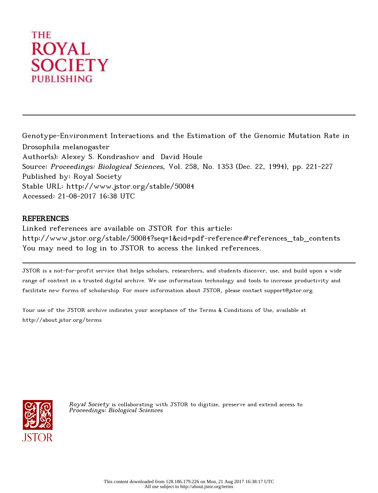# THE **ROYAL SOCIETY PUBLISHING**

Genotype-Environment Interactions and the Estimation of the Genomic Mutation Rate in Drosophila melanogaster Author(s): Alexey S. Kondrashov and David Houle Source: Proceedings: Biological Sciences, Vol. 258, No. 1353 (Dec. 22, 1994), pp. 221-227 Published by: Royal Society Stable URL: http://www.jstor.org/stable/50084 Accessed: 21-08-2017 16:38 UTC

# **REFERENCES**

Linked references are available on JSTOR for this article: http://www.jstor.org/stable/50084?seq=1&cid=pdf-reference#references\_tab\_contents You may need to log in to JSTOR to access the linked references.

JSTOR is a not-for-profit service that helps scholars, researchers, and students discover, use, and build upon a wide range of content in a trusted digital archive. We use information technology and tools to increase productivity and facilitate new forms of scholarship. For more information about JSTOR, please contact support@jstor.org.

Your use of the JSTOR archive indicates your acceptance of the Terms & Conditions of Use, available at http://about.jstor.org/terms



Royal Society is collaborating with JSTOR to digitize, preserve and extend access to Proceedings: Biological Sciences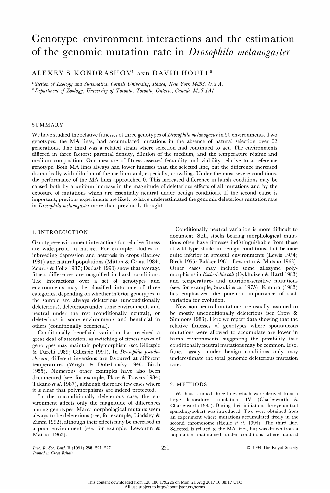# Genotype-environment interactions and the estimation of the genomic mutation rate in Drosophila melanogaster

ALEXEY S. KONDRASHOV1 AND DAVID HOULE2

<sup>1</sup> Section of Ecology and Systematics, Cornell University, Ithaca, New York 14853, U.S.A.  $^{2}$  Department of Zoology, University of Toronto, Toronto, Ontario, Canada M5S 1A1

#### SUMMARY

We have studied the relative fitnesses of three genotypes of *Drosophila melanogaster* in 50 environments. Two genotypes, the MA lines, had accumulated mutations in the absence of natural selection over 62 generations. The third was a related strain where selection had continued to act. The environments differed in three factors: parental density, dilution of the medium, and the temperature regime and medium composition. Our measure of fitness assessed fecundity and viability relative to a reference genotype. Both MA lines always had lower fitnesses than the selected line, but the difference increased dramatically with dilution of the medium and, especially, crowding. Under the most severe conditions, the performance of the MA lines approached 0. This increased difference in harsh conditions may be caused both by a uniform increase in the magnitude of deleterious effects of all mutations and by the exposure of mutations which are essentially neutral under benign conditions. If the second cause is important, previous experiments are likely to have underestimated the genomic deleterious mutation rate in Drosophila melanogaster more than previously thought.

### 1. INTRODUCTION

 Genotype-environment interactions for relative fitness are widespread in nature. For example, studies of inbreeding depression and heterosis in crops (Barlow 1981) and natural populations (Mitton & Grant 1984; Zouros & Foltz 1987; Dudash 1990) show that average fitness differences are magnified in harsh conditions. The interactions over a set of genotypes and environments may be classified into one of three categories, depending on whether inferior genotypes in the sample are always deleterious (unconditionally deleterious), deleterious under some environments and neutral under the rest (conditionally neutral), or deleterious in some environments and beneficial in others (conditionally beneficial).

 Conditionally beneficial variation has received a great deal of attention, as switching of fitness ranks of genotypes may maintain polymorphism (see Gillespie & Turelli 1989; Gillespie 1991). In Drosophila pseudo obscura, different inversions are favoured at different temperatures (Wright & Dobzhansky 1946; Birch 1955). Numerous other examples have also been documented (see, for example, Place & Powers 1984; Takano et al. 1987), although there are few cases where it is clear that polymorphisms are indeed protected.

 In the unconditionally deleterious case, the en vironment affects only the magnitude of differences among genotypes. Many morphological mutants seem always to be deleterious (see, for example, Lindsley & Zimm 1992), although their effects may be increased in a poor environment (see, for example, Lewontin & Matsuo 1963).

 Conditionally neutral variation is more difficult to document. Still, stocks bearing morphological muta tions often have fitnesses indistinguishable from those of wild-type stocks in benign conditions, but become quite inferior in stressful environments (Lewis 1954; Birch 1955; Bakker 1961; Lewontin & Matsuo 1963). Other cases may include some allozyme poly morphisms in Escherichia coli (Dykhuizen & Hartl 1983) and temperature- and nutrition-sensitive mutations (see, for example, Suzuki et al. 1975). Kimura (1983) has emphasized the potential importance of such variation for evolution.

 New non-neutral mutations are usually assumed to be mostly unconditionally deleterious (see Crow & Simmons 1983). Here we report data showing that the relative fitnesses of genotypes where spontaneous mutations were allowed to accumulate are lower in harsh environments, suggesting the possibility that conditionally neutral mutations may be common. If so, fitness assays under benign conditions only may underestimate the total genomic deleterious mutation rate.

#### 2. METHODS

 We have studied three lines which were derived from a large laboratory population, IV (Charlesworth & Charlesworth 1985). During their initiation, the eye mutant sparkling-poliert was introduced. Two were obtained from an experiment where mutations accumulated freely in the second chromosome (Houle et al. 1994). The third line, Selected, is related to the MA lines, but was drawn from a population maintained under conditions where natural

Proc. R. Soc. Lond. B (1994) 258, 221-227 221 C 1994 The Royal Society Printed in Great Britain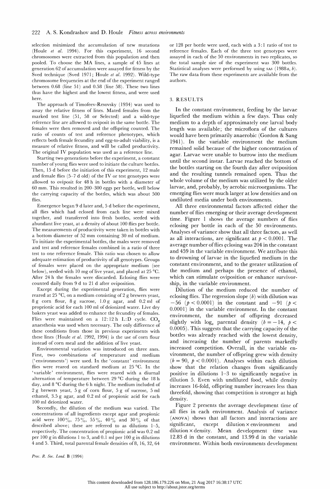selection minimized the accumulation of new mutations (Houle et al. 1994). For this experiment, 16 second chromosomes were extracted from this population and then pooled. To choose the MA lines, a sample of 45 lines at generation 62 of accumulation were assayed for fitness by the Sved technique (Sved 1971; Houle et al. 1992). Wild-type chromosome frequencies at the end of the experiment ranged between 0.68 (line 51) and 0.58 (line 58). These two lines thus have the highest and the lowest fitness, and were used here.

 The approach of Timofeev-Resovsky (1934) was used to assay the relative fitness of lines. Mated females from the marked test line (51, 58 or Selected) and a wild-type reference line are allowed to oviposit in the same bottle. The females were then removed and the offspring counted. The ratio of counts of test and reference phenotypes, which reflects both female fecundity and egg-to-adult viability, is a measure of relative fitness, and will be called productivity. The original IV population was used as a reference line.

 Starting two generations before the experiment, a constant number of young flies were used to initiate the culture bottles. Then, 15 d before the initiation of this experiment, 12 male and female flies (5-7 d old) of the IV or test genotypes were allowed to oviposit for 48 h in bottles with a diameter of 60 mm. This resulted in 200-300 eggs per bottle, well below the carrying capacity of the bottles, which was about 500 flies.

 Emergence began 9 d later and, 5 d before the experiment, all flies which had eclosed from each line were mixed together, and transferred into fresh bottles, seeded with abundant live yeast, at a density of about 100 flies per bottle. The measurements of productivity were taken in bottles with a bottom diameter of 52 mm containing 30 ml of medium. To initiate the experimental bottles, the males were removed and test and reference females combined in a ratio of three test to one reference female. This ratio was chosen to allow adequate estimation of productivity of all genotypes. Groups of females were placed on the appropriate medium (see below), seeded with 10 mg of live yeast, and placed at 25  $^{\circ}$ C. After 24 h the females were discarded. Eclosing flies were counted daily from 9 d to 21 d after oviposition.

 Except during the experimental generation, flies were reared at 25  $\mathrm{^{\circ}C}$ , on a medium consisting of 2 g brewers yeast, 8 g corn flour, 8 g sucrose, 1.0 g agar, and 0.2 ml of proprionic acid for each 100 ml of deionized water. Live dry bakers yeast was added to enhance the fecundity of females. Flies were maintained on a  $12:12$  h L:D cycle. CO<sub>2</sub> anaesthesia was used when necessary. The only difference of these conditions from those in previous experiments with these lines (Houle et al. 1992, 1994) is the use of corn flour instead of corn meal and the addition of live yeast.

 Environmental variation was introduced on three axes. First, two combinations of temperature and medium ('environments') were used. In the 'constant' environment flies were reared on standard medium at 25 °C. In the 'variable' environment, flies were reared with a diurnal alternation of temperature between  $29^{\circ}$ C during the 18 h day, and 8 °C during the 6 h night. The medium included of 2 g brewers yeast, 5 g of corn flour, 5 g of sucrose, 5 ml ethanol, 3.5 g agar, and 0.2 ml of propionic acid for each 100 ml deionized water.

 Secondly, the dilution of the medium was varied. The concentrations of all ingredients except agar and propionic acid were  $100\%, 75\%, 55\%, 40\%$  and  $30\%$  of that described above; these are referred to as dilutions 1-5, respectively. The concentration of propionic acid was 0.2 ml per 100 g in dilutions 1 to 3, and 0.1 ml per 100 g in dilutions 4 and 5. Third, total parental female densities of 8, 16, 32, 64

 or 128 per bottle were used, each with a 3: 1 ratio of test to reference females. Each of the three test genotypes were assayed in each of the 50 environments in two replicates, so the total sample size of the experiment was 300 bottles. Statistical analyses were performed by using sas  $(1988a, b)$ . The raw data from these experiments are available from the authors.

#### 3. RESULTS

 In the constant environment, feeding by the larvae liquefied the medium within a few days. Thus only medium to a depth of approximately one larval body length was available; the microflora of the cultures would have been primarily anaerobic (Gordon & Sang 1941). In the variable environment the medium remained solid because of the higher concentration of agar. Larvae were unable to burrow into the medium until the second instar. Larvae reached the bottom of the bottles starting on the fourth day after oviposition and the resulting tunnels remained open. Thus the whole volume of the medium was utilized by the older larvae, and, probably, by aerobic microorganisms. The emerging flies were much larger at low densities and on undiluted media under both environments.

 All three environmental factors affected either the number of flies emerging or their average development time. Figure 1 shows the average numbers of flies eclosing per bottle in each of the 50 environments. Analyses of variance show that all three factors, as well as all interactions, are significant at  $p < 0.0001$ . The average number of flies eclosing was 204 in the constant and 459 in the variable environment. We attribute this to drowning of larvae in the liquefied medium in the constant environment, and to the greater utilization of the medium and perhaps the presence of ethanol, which can stimulate oviposition or enhance survivor ship, in the variable environment.

 Dilution of the medium reduced the number of eclosing flies. The regression slope  $(b)$  with dilution was  $-56$  ( $p < 0.0001$ ) in the constant and  $-91$  ( $p <$  0.0001) in the variable environment. In the constant environment, the number of offspring decreased slightly with  $log_e$  parental density ( $b = -14$ ,  $p <$  0.0005). This suggests that the carrying capacity of the bottles was already reached with the lowest density, and increasing the number of parents markedly increased competition. Overall, in the variable en vironment, the number of offspring grew with density  $(b = 90, p < 0.0001)$ . Analyses within each dilution show that the relation changes from significantly positive in dilutions 1-3 to significantly negative in dilution 5. Even with undiluted food, while density increases 16-fold, offspring number increases less than threefold, showing that competition is stronger at high density.

 Figure 2 presents the average development time of all flies in each environment. Analysis of variance (ANOVA) shows that all factors and interactions are significant, except dilution x environment and dilution x density. Mean development time was 12.83 d in the constant, and 13.99 d in the variable environment. Within both environments development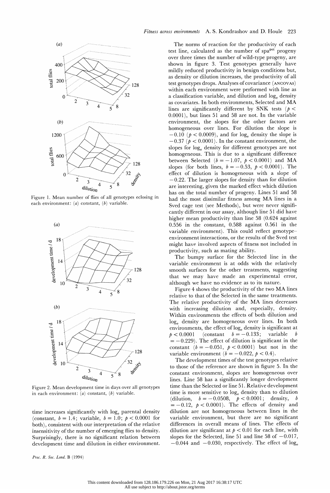

 Figure 1. Mean number of flies of all genotypes eclosing in each environment:  $(a)$  constant,  $(b)$  variable.



 Figure 2. Mean development time in days over all genotypes in each environment:  $(a)$  constant,  $(b)$  variable.

time increases significantly with log<sub>e</sub> parental density (constant,  $b = 1.4$ ; variable,  $b = 1.0$ ;  $p < 0.0001$  for both), consistent with our interpretation of the relative insensitivity of the number of emerging flies to density. Surprisingly, there is no significant relation between development time and dilution in either environment.

Proc. R. Soc. Lond. B (1994)

 The norms of reaction for the productivity of each test line, calculated as the number of  $spa<sup>pol</sup>$  progeny over three times the number of wild-type progeny, are shown in figure 3. Test genotypes generally have mildly reduced productivity in benign conditions but, as density or dilution increases, the productivity of all test genotypes drops. Analyses of covariance (ANCOVAS) within each environment were performed with line as a classification variable, and dilution and  $log<sub>e</sub>$  density as covariates. In both environments, Selected and MA lines are significantly different by SNK tests ( $p <$  0.0001), but lines 51 and 58 are not. In the variable environment, the slopes for the other factors are homogeneous over lines. For dilution the slope is  $-0.10$  ( $p < 0.0009$ ), and for log<sub>e</sub> density the slope is  $-0.37$  ( $p < 0.0001$ ). In the constant environment, the slopes for  $log<sub>e</sub>$  density for different genotypes are not homogeneous. This is due to a significant difference between Selected ( $b = -1.07$ ,  $p < 0.0001$ ) and MA slopes (for both lines,  $b = -0.53$ ,  $p < 0.0001$ ). The effect of dilution is homogeneous with a slope of -0.22. The larger slopes for density than for dilution are interesting, given the marked effect which dilution has on the total number of progeny. Lines 51 and 58 had the most dissimilar fitness among MA lines in a Sved cage test (see Methods), but were never signifi cantly different in our assay, although line 51 did have higher mean productivity than line 58 (0.624 against 0.556 in the constant, 0.588 against 0.561 in the variable environment). This could reflect genotype environment interactions, or the results of the Sved test might have involved aspects of fitness not included in productivity, such as mating ability.

 The bumpy surface for the Selected line in the variable environment is at odds with the relatively smooth surfaces for the other treatments, suggesting that we may have made an experimental error, although we have no evidence as to its nature.

 Figure 4 shows the productivity of the two MA lines relative to that of the Selected in the same treatments. The relative productivity of the MA lines decreases with increasing dilution and, especially, density. Within environments the effects of both dilution and log<sub>e</sub> density are homogeneous over lines. In both environments, the effect of loge density is significant at  $p < 0.0001$  (constant  $b = -0.133$ ; variable b  $= -0.229$ ). The effect of dilution is significant in the constant  $(b = -0.051, p < 0.0001)$  but not in the variable environment ( $b = -0.022$ ,  $p < 0.4$ ).

 The development times of the test genotypes relative to those of the reference are shown in figure 5. In the constant environment, slopes are homogeneous over lines. Line 58 has a significantly longer development time than the Selected or line 51. Relative development time is more sensitive to  $log<sub>e</sub>$  density than to dilution (dilution,  $b = -0.0508$ ,  $p < 0.0001$ ; density, b  $= -0.12$ ,  $p < 0.0001$ ). The effects of density and dilution are not homogeneous between lines in the variable environment, but there are no significant differences in overall means of lines. The effects of dilution are significant at  $p < 0.01$  for each line, with slopes for the Selected, line 51 and line 58 of  $-0.017$ ,  $-0.044$  and  $-0.030$ , respectively. The effect of log<sub>e</sub>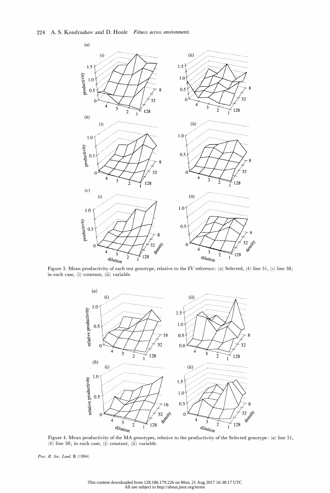

 $\mathcal{L}^{\mathcal{L}}(\mathcal{L}^{\mathcal{L}})$  . In the set of the set of the set of the set of the set of the set of the set of the set of the set of the set of the set of the set of the set of the set of the set of the set of the set of Figure 3. Mean productivity of each test genotype, relative to the IV reference: (a) Selected, (b) line 51, (c) line 58; in each case, (i) constant, (ii) variable.



Figure 4. Mean productivity of the MA genotypes, relative to the productivity of the Selected genotype: (a) line 51,  $(b)$  line 58; in each case, (i) constant, (ii) variable.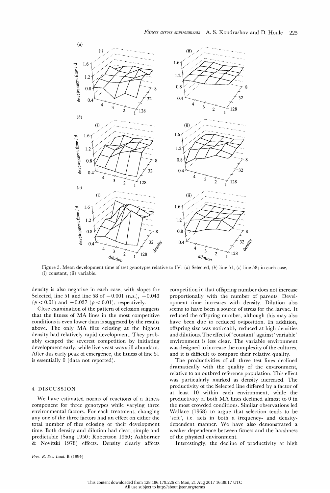

(i) constant, (ii) variable.

 density is also negative in each case, with slopes for Selected, line 51 and line 58 of  $-0.001$  (n.s.),  $-0.043$  $(p < 0.01)$  and  $-0.037$   $(p < 0.01)$ , respectively.

 Close examination of the pattern of eclosion suggests that the fitness of MA lines in the most competitive conditions is even lower than is suggested by the results above. The only MA flies eclosing at the highest density had relatively rapid development. They prob ably escaped the severest competition by initiating development early, while live yeast was still abundant. After this early peak of emergence, the fitness of line 51 is essentially 0 (data not reported).

## 4. DISCUSSION

 We have estimated norms of reactions of a fitness component for three genotypes while varying three environmental factors. For each treatment, changing any one of the three factors had an effect on either the total number of flies eclosing or their development time. Both density and dilution had clear, simple and predictable (Sang 1950; Robertson 1960; Ashburner & Novitski 1978) effects. Density clearly affects  competition in that offspring number does not increase proportionally with the number of parents. Devel opment time increases with density. Dilution also seems to have been a source of stress for the larvae. It reduced the offspring number, although this may also have been due to reduced oviposition. In addition, offspring size was noticeably reduced at high densities and dilutions. The effect of' constant' against 'variable' environment is less clear. The variable environment was designed to increase the complexity of the cultures, and it is difficult to compare their relative quality.

 The productivities of all three test lines declined dramatically with the quality of the environment, relative to an outbred reference population. This effect was particularly marked as density increased. The productivity of the Selected line differed by a factor of at least 10 within each environment, while the productivity of both MA lines declined almost to 0 in the most crowded conditions. Similar observations led Wallace (1968) to argue that selection tends to be 'soft', i.e. acts in both a frequency- and density dependent manner. We have also demonstrated a weaker dependence between fitness and the harshness of the physical environment.

Interestingly, the decline of productivity at high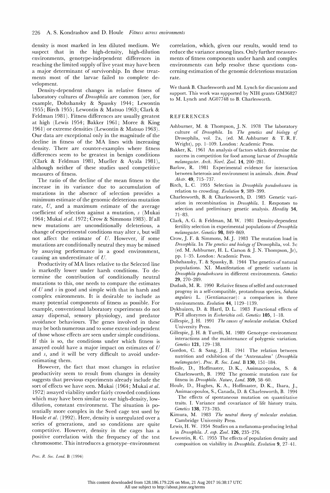density is most marked in less diluted medium. We suspect that in the high-density, high-dilution environments, genotype-independent differences in reaching the limited supply of live yeast may have been a major determinant of survivorship. In these treat ments most of the larvae failed to complete de velopment.

 Density-dependent changes in relative fitness of laboratory cultures of *Drosophila* are common (see, for example, Dobzhansky & Spassky 1944; Lewontin 1955; Birch 1955; Lewontin & Matsuo 1963; Clark & Feldman 1981). Fitness differences are usually greatest at high (Lewis 1954; Bakker 1961; Moree & King 1961) or extreme densities (Lewontin & Matsuo 1963). Our data are exceptional only in the magnitude of the decline in fitness of the MA lines with increasing density. There are counter-examples where fitness differences seem to be greatest in benign conditions (Clark & Feldman 1981, Mueller & Ayala 1981), although neither of these studies used competitive measures of fitness.

 The ratio of the decline of the mean fitness to the increase in its variance due to accumulation of mutations in the absence of selection provides a minimum estimate of the genomic deleterious mutation rate, U, and a maximum estimate of the average coefficient of selection against a mutation, s (Mukai 1964; Mukai et al. 1972; Crow & Simmons 1983). If all new mutations are unconditionally deleterious, a change of experimental conditions may alter s, but will not affect the estimate of U. However, if some mutations are conditionally neutral they may be missed by assaying performance in a good environment, causing an underestimate of U.

 Productivity of MA lines relative to the Selected line is markedly lower under harsh conditions. To de termine the contribution of conditionally neutral mutations to this, one needs to compare the estimates of  $U$  and  $s$  in good and simple with that in harsh and complex enironments. It is desirable to include as many potential components of fitness as possible. For example, conventional laboratory experiments do not assay dispersal, sensory physiology, and predator avoidance behaviours. The genes involved in these may be both numerous and to some extent independent of those whose effects are seen under simple conditions. If this is so, the conditions under which fitness is assayed could have a major impact on estimates of  $U$  and s, and it will be very difficult to avoid under estimating them.

 However, the fact that most changes in relative productivity seem to result from changes in density suggests that previous experiments already include the sort of effects we have seen. Mukai (1964; Mukai et al. 1972) assayed viability under fairly crowded conditions which may have been similar to our high-density, low dilution, constant environment. The situation is po tentially more complex in the Sved cage test used by Houle et al. (1992). Here, density is unregulated over a series of generations, and so conditions are quite competitive. However, density in the cages has a positive correlation with the frequency of the test chromosome. This introduces a genotype-environment

 correlation, which, given our results, would tend to reduce the variance among lines. Only further measure ments of fitness components under harsh and complex environments can help resolve these questions con cerning estimation of the genomic deleterious mutation rate.

 We thank B. Charlesworth and M. Lynch for discussions and support. This work was supported by NIH grants GM36827 to M. Lynch and AG07748 to B. Charlesworth.

### REFERENCES

- Ashburner, M. & Thompson, J. N. 1978 The laboratory culture of Drosophila. In The genetics and biology of Drosophila, vol. 2a, (ed. M. Ashburner & T. R. F. Wright), pp. 1-109. London: Academic Press.
- Bakker, K. 1961 An analysis of factors which determine the success in competition for food among larvae of Drosophila melanogaster. Arch. Neerl. Zool. 14, 200-281.
- Barlow, R. 1981 Experimental evidence for interaction between heterosis and environment in animals. Anim. Breed Abstr. 49, 715-737.
- Birch, L. C. 1955 Selection in Drosophila pseudoobscura in relation to crowding. Evolution 9, 389-399.
- Charlesworth, B. & Charlesworth, D. 1985 Genetic vari ation in recombination in Drosophila. I. Responses to selection and preliminary genetic analysis. Heredity 54, 71-83.
- Clark, A. G. & Feldman, M. W. 1981 Density-dependent fertility selection in experimental populations of Drosophila melanogaster. Genetics 98, 849-869.
- Crow, J. F. & Simmons, M. J. 1983 The mutation load in Drosophila. In The genetics and biology of Drosophila, vol. 3 c (ed. M. Ashburner, H. L. Carson & J. N. Thompson, Jr), pp. 1-35. London: Academic Press.
- Dobzhansky, T. & Spassky, B. 1944 The genetics of natural populations. XI. Manifestation of genetic variants in Drosophila pseudoobscura in different environments. Genetics 29, 270-289.
- Dudash, M. R. 1990 Relative fitness of selfed and outcrossed progeny in a self-compatible, protandrous species, Sabatia angularis L. (Gentianaceae): a comparison in three environments. Evolution 44, 1129-1139.
- Dykhuizen, D. & Hartl, D. L. 1983 Functional effects of PGI allozymes in *Escherichia coli. Genetics* 105, 1-18.
- Gillespie, J. H. 1991 The causes of molecular evolution. Oxford University Press.
- Gillespie,J. H. & Turelli, M. 1989 Genotype-environment interactions and the maintenance of polygenic variation. Genetics 121, 129-138.
- Gordon, C. & Sang, J. H. 1941 The relation between nutrition and exhibition of the 'Antennaless' (Drosophila melanogaster). Proc. R. Soc. Lond. B 130, 151-184.
- Houle, D., Hoffmaster, D. K., Assimacopoulos, S. & Charlesworth, B. 1992 The genomic mutation rate for fitness in Drosophila. Nature, Lond. 359, 58-60.
- Houle, D., Hughes, K. A., Hoffmaster, D. K., Ihara, J., Assimacopoulos, S., Canada, D. & Charlesworth, B. 1994 The effects of spontaneous mutation on quantitative traits. I. Variance and covariance of life history traits. Genetics 138, 773-785.
- Kimura, M. 1983 The neutral theory of molecular evolution. Cambridge University Press.
- Lewis, H. W. 1954 Studies on a melanoma-producing lethal in Drosophila. J. exp. Zool. 126, 235-276.
- Lewontin, R. C. 1955 The effects of population density and composition on viability in Drosophila. Evolution 9, 27-41.